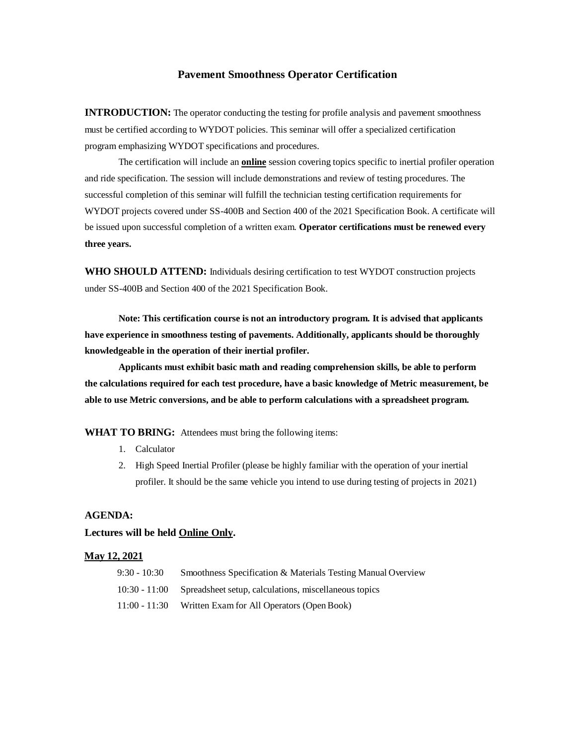# **Pavement Smoothness Operator Certification**

**INTRODUCTION:** The operator conducting the testing for profile analysis and pavement smoothness must be certified according to WYDOT policies. This seminar will offer a specialized certification program emphasizing WYDOT specifications and procedures.

The certification will include an **online** session covering topics specific to inertial profiler operation and ride specification. The session will include demonstrations and review of testing procedures. The successful completion of this seminar will fulfill the technician testing certification requirements for WYDOT projects covered under SS-400B and Section 400 of the 2021 Specification Book. A certificate will be issued upon successful completion of a written exam. **Operator certifications must be renewed every three years.**

**WHO SHOULD ATTEND:** Individuals desiring certification to test WYDOT construction projects under SS-400B and Section 400 of the 2021 Specification Book.

**Note: This certification course is not an introductory program. It is advised that applicants have experience in smoothness testing of pavements. Additionally, applicants should be thoroughly knowledgeable in the operation of their inertial profiler.**

**Applicants must exhibit basic math and reading comprehension skills, be able to perform the calculations required for each test procedure, have a basic knowledge of Metric measurement, be able to use Metric conversions, and be able to perform calculations with a spreadsheet program.**

**WHAT TO BRING:** Attendees must bring the following items:

- 1. Calculator
- 2. High Speed Inertial Profiler (please be highly familiar with the operation of your inertial profiler. It should be the same vehicle you intend to use during testing of projects in 2021)

## **AGENDA:**

### **Lectures will be held Online Only.**

#### **May 12, 2021**

| $9:30 - 10:30$  | Smoothness Specification & Materials Testing Manual Overview |
|-----------------|--------------------------------------------------------------|
| $10:30 - 11:00$ | Spreadsheet setup, calculations, miscellaneous topics        |
| $11:00 - 11:30$ | Written Exam for All Operators (Open Book)                   |